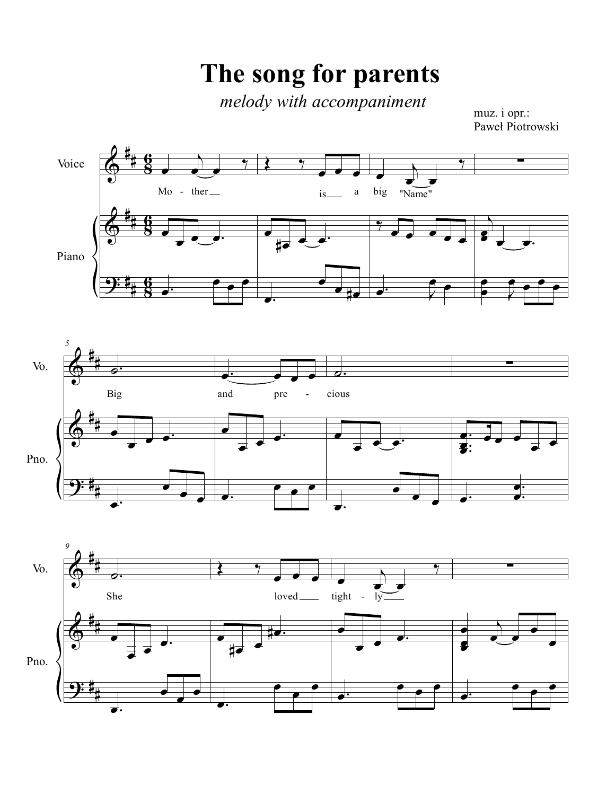**The song for parents**

*melody with accompaniment*

muz. i opr.: Paweł Piotrowski

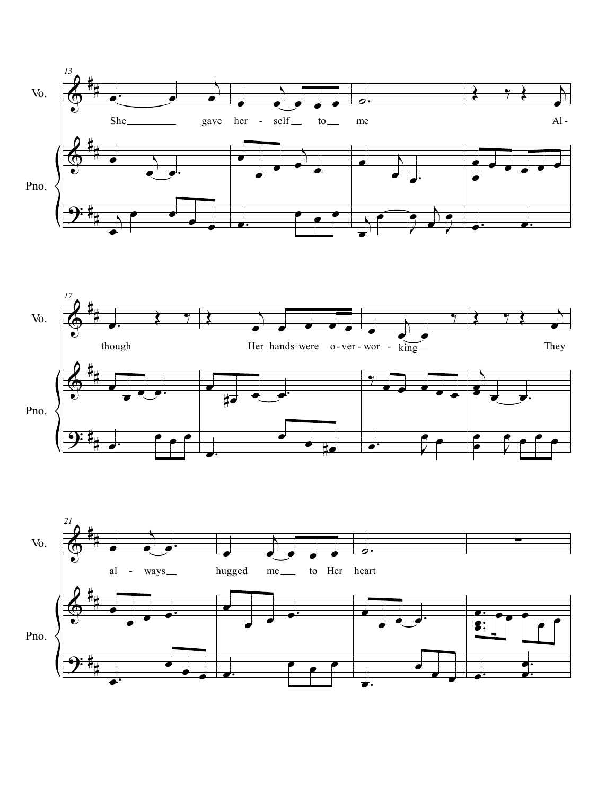



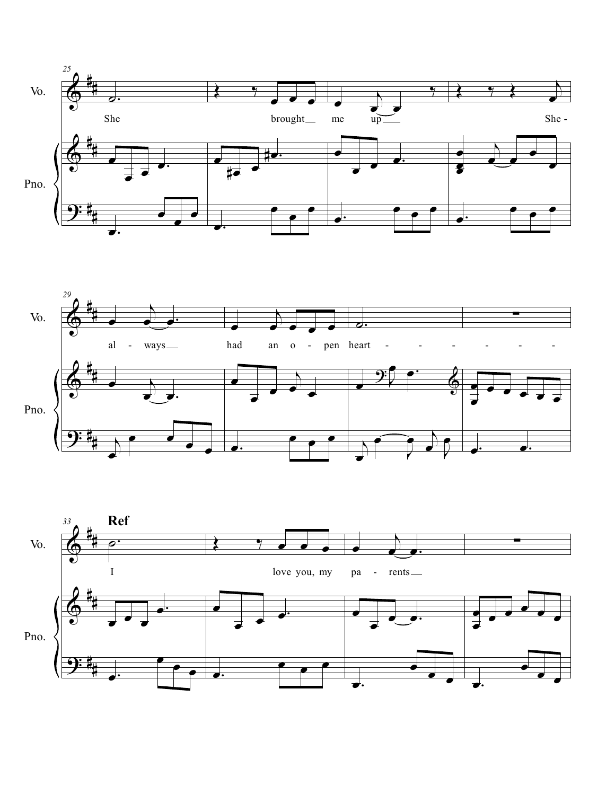



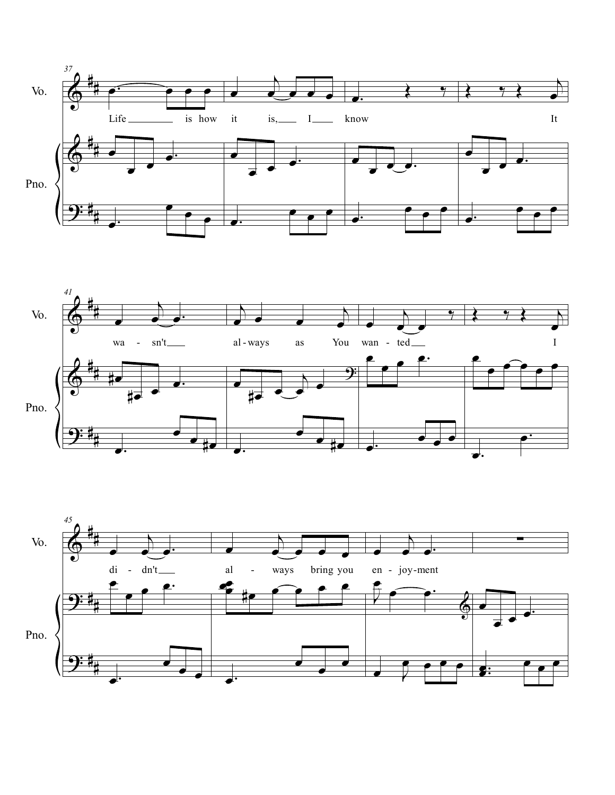



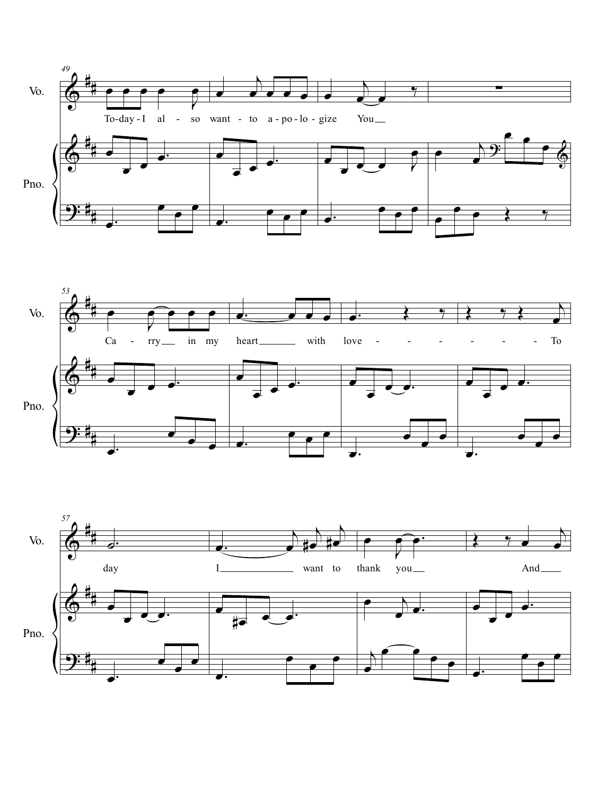